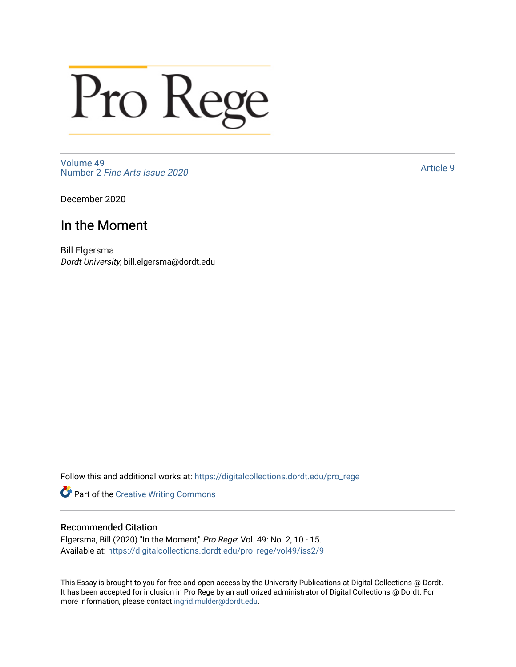# Pro Rege

[Volume 49](https://digitalcollections.dordt.edu/pro_rege/vol49) Number 2 [Fine Arts Issue 2020](https://digitalcollections.dordt.edu/pro_rege/vol49/iss2) 

[Article 9](https://digitalcollections.dordt.edu/pro_rege/vol49/iss2/9) 

December 2020

### In the Moment

Bill Elgersma Dordt University, bill.elgersma@dordt.edu

Follow this and additional works at: [https://digitalcollections.dordt.edu/pro\\_rege](https://digitalcollections.dordt.edu/pro_rege?utm_source=digitalcollections.dordt.edu%2Fpro_rege%2Fvol49%2Fiss2%2F9&utm_medium=PDF&utm_campaign=PDFCoverPages) 

Part of the [Creative Writing Commons](http://network.bepress.com/hgg/discipline/574?utm_source=digitalcollections.dordt.edu%2Fpro_rege%2Fvol49%2Fiss2%2F9&utm_medium=PDF&utm_campaign=PDFCoverPages) 

#### Recommended Citation

Elgersma, Bill (2020) "In the Moment," Pro Rege: Vol. 49: No. 2, 10 - 15. Available at: [https://digitalcollections.dordt.edu/pro\\_rege/vol49/iss2/9](https://digitalcollections.dordt.edu/pro_rege/vol49/iss2/9?utm_source=digitalcollections.dordt.edu%2Fpro_rege%2Fvol49%2Fiss2%2F9&utm_medium=PDF&utm_campaign=PDFCoverPages) 

This Essay is brought to you for free and open access by the University Publications at Digital Collections @ Dordt. It has been accepted for inclusion in Pro Rege by an authorized administrator of Digital Collections @ Dordt. For more information, please contact [ingrid.mulder@dordt.edu.](mailto:ingrid.mulder@dordt.edu)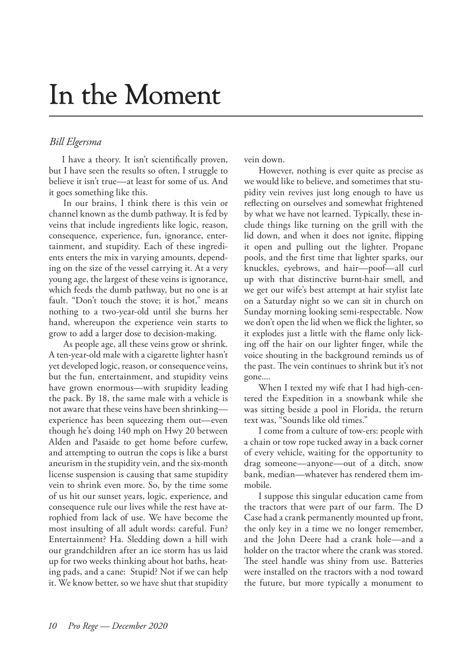## In the Moment

#### *Bill Elgersma*

I have a theory. It isn't scientifically proven, but I have seen the results so often, I struggle to believe it isn't true—at least for some of us. And it goes something like this.

In our brains, I think there is this vein or channel known as the dumb pathway. It is fed by veins that include ingredients like logic, reason, consequence, experience, fun, ignorance, entertainment, and stupidity. Each of these ingredients enters the mix in varying amounts, depending on the size of the vessel carrying it. At a very young age, the largest of these veins is ignorance, which feeds the dumb pathway, but no one is at fault. "Don't touch the stove; it is hot," means nothing to a two-year-old until she burns her hand, whereupon the experience vein starts to grow to add a larger dose to decision-making.

As people age, all these veins grow or shrink. A ten-year-old male with a cigarette lighter hasn't yet developed logic, reason, or consequence veins, but the fun, entertainment, and stupidity veins have grown enormous—with stupidity leading the pack. By 18, the same male with a vehicle is not aware that these veins have been shrinking experience has been squeezing them out—even though he's doing 140 mph on Hwy 20 between Alden and Pasaide to get home before curfew, and attempting to outrun the cops is like a burst aneurism in the stupidity vein, and the six-month license suspension is causing that same stupidity vein to shrink even more. So, by the time some of us hit our sunset years, logic, experience, and consequence rule our lives while the rest have atrophied from lack of use. We have become the most insulting of all adult words: careful. Fun? Entertainment? Ha. Sledding down a hill with our grandchildren after an ice storm has us laid up for two weeks thinking about hot baths, heating pads, and a cane: Stupid? Not if we can help it. We know better, so we have shut that stupidity

vein down.

However, nothing is ever quite as precise as we would like to believe, and sometimes that stupidity vein revives just long enough to have us reflecting on ourselves and somewhat frightened by what we have not learned. Typically, these include things like turning on the grill with the lid down, and when it does not ignite, flipping it open and pulling out the lighter. Propane pools, and the first time that lighter sparks, our knuckles, eyebrows, and hair—poof—all curl up with that distinctive burnt-hair smell, and we get our wife's best attempt at hair stylist late on a Saturday night so we can sit in church on Sunday morning looking semi-respectable. Now we don't open the lid when we flick the lighter, so it explodes just a little with the flame only licking off the hair on our lighter finger, while the voice shouting in the background reminds us of the past. The vein continues to shrink but it's not gone....

When I texted my wife that I had high-centered the Expedition in a snowbank while she was sitting beside a pool in Florida, the return text was, "Sounds like old times."

I come from a culture of tow-ers: people with a chain or tow rope tucked away in a back corner of every vehicle, waiting for the opportunity to drag someone—anyone—out of a ditch, snow bank, median—whatever has rendered them immobile.

I suppose this singular education came from the tractors that were part of our farm. The D Case had a crank permanently mounted up front, the only key in a time we no longer remember, and the John Deere had a crank hole—and a holder on the tractor where the crank was stored. The steel handle was shiny from use. Batteries were installed on the tractors with a nod toward the future, but more typically a monument to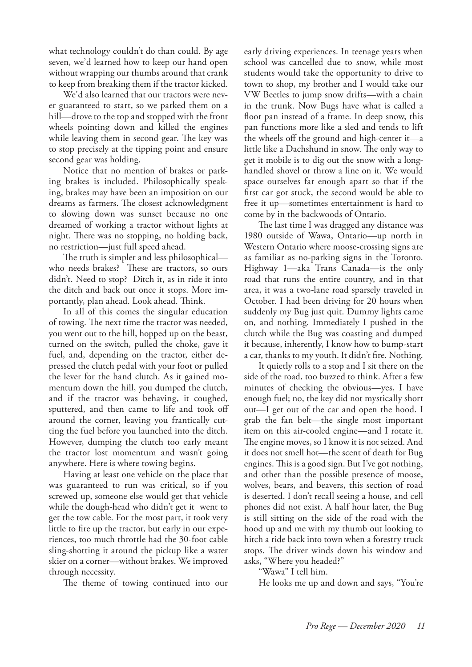what technology couldn't do than could. By age seven, we'd learned how to keep our hand open without wrapping our thumbs around that crank to keep from breaking them if the tractor kicked.

We'd also learned that our tractors were never guaranteed to start, so we parked them on a hill—drove to the top and stopped with the front wheels pointing down and killed the engines while leaving them in second gear. The key was to stop precisely at the tipping point and ensure second gear was holding.

Notice that no mention of brakes or parking brakes is included. Philosophically speaking, brakes may have been an imposition on our dreams as farmers. The closest acknowledgment to slowing down was sunset because no one dreamed of working a tractor without lights at night. There was no stopping, no holding back, no restriction—just full speed ahead.

The truth is simpler and less philosophical who needs brakes? These are tractors, so ours didn't. Need to stop? Ditch it, as in ride it into the ditch and back out once it stops. More importantly, plan ahead. Look ahead. Think.

In all of this comes the singular education of towing. The next time the tractor was needed, you went out to the hill, hopped up on the beast, turned on the switch, pulled the choke, gave it fuel, and, depending on the tractor, either depressed the clutch pedal with your foot or pulled the lever for the hand clutch. As it gained momentum down the hill, you dumped the clutch, and if the tractor was behaving, it coughed, sputtered, and then came to life and took off around the corner, leaving you frantically cutting the fuel before you launched into the ditch. However, dumping the clutch too early meant the tractor lost momentum and wasn't going anywhere. Here is where towing begins.

Having at least one vehicle on the place that was guaranteed to run was critical, so if you screwed up, someone else would get that vehicle while the dough-head who didn't get it went to get the tow cable. For the most part, it took very little to fire up the tractor, but early in our experiences, too much throttle had the 30-foot cable sling-shotting it around the pickup like a water skier on a corner—without brakes. We improved through necessity.

The theme of towing continued into our

early driving experiences. In teenage years when school was cancelled due to snow, while most students would take the opportunity to drive to town to shop, my brother and I would take our VW Beetles to jump snow drifts—with a chain in the trunk. Now Bugs have what is called a floor pan instead of a frame. In deep snow, this pan functions more like a sled and tends to lift the wheels off the ground and high-center it—a little like a Dachshund in snow. The only way to get it mobile is to dig out the snow with a longhandled shovel or throw a line on it. We would space ourselves far enough apart so that if the first car got stuck, the second would be able to free it up—sometimes entertainment is hard to come by in the backwoods of Ontario.

The last time I was dragged any distance was 1980 outside of Wawa, Ontario—up north in Western Ontario where moose-crossing signs are as familiar as no-parking signs in the Toronto. Highway 1—aka Trans Canada—is the only road that runs the entire country, and in that area, it was a two-lane road sparsely traveled in October. I had been driving for 20 hours when suddenly my Bug just quit. Dummy lights came on, and nothing. Immediately I pushed in the clutch while the Bug was coasting and dumped it because, inherently, I know how to bump-start a car, thanks to my youth. It didn't fire. Nothing.

It quietly rolls to a stop and I sit there on the side of the road, too buzzed to think. After a few minutes of checking the obvious—yes, I have enough fuel; no, the key did not mystically short out—I get out of the car and open the hood. I grab the fan belt—the single most important item on this air-cooled engine—and I rotate it. The engine moves, so I know it is not seized. And it does not smell hot—the scent of death for Bug engines. This is a good sign. But I've got nothing, and other than the possible presence of moose, wolves, bears, and beavers, this section of road is deserted. I don't recall seeing a house, and cell phones did not exist. A half hour later, the Bug is still sitting on the side of the road with the hood up and me with my thumb out looking to hitch a ride back into town when a forestry truck stops. The driver winds down his window and asks, "Where you headed?"

"Wawa" I tell him.

He looks me up and down and says, "You're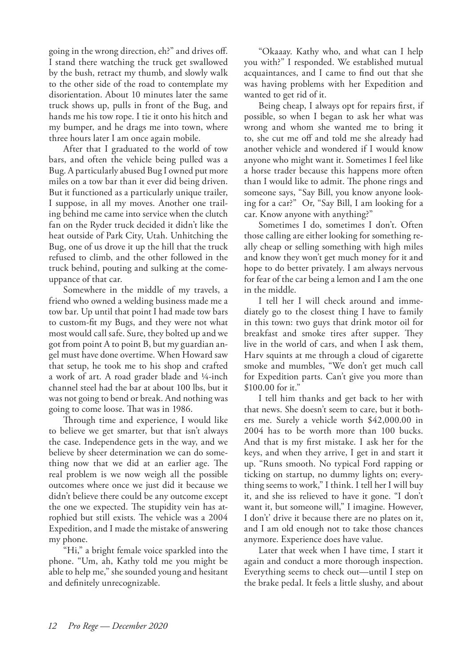going in the wrong direction, eh?" and drives off. I stand there watching the truck get swallowed by the bush, retract my thumb, and slowly walk to the other side of the road to contemplate my disorientation. About 10 minutes later the same truck shows up, pulls in front of the Bug, and hands me his tow rope. I tie it onto his hitch and my bumper, and he drags me into town, where three hours later I am once again mobile.

After that I graduated to the world of tow bars, and often the vehicle being pulled was a Bug. A particularly abused Bug I owned put more miles on a tow bar than it ever did being driven. But it functioned as a particularly unique trailer, I suppose, in all my moves. Another one trailing behind me came into service when the clutch fan on the Ryder truck decided it didn't like the heat outside of Park City, Utah. Unhitching the Bug, one of us drove it up the hill that the truck refused to climb, and the other followed in the truck behind, pouting and sulking at the comeuppance of that car.

Somewhere in the middle of my travels, a friend who owned a welding business made me a tow bar. Up until that point I had made tow bars to custom-fit my Bugs, and they were not what most would call safe. Sure, they bolted up and we got from point A to point B, but my guardian angel must have done overtime. When Howard saw that setup, he took me to his shop and crafted a work of art. A road grader blade and ¼-inch channel steel had the bar at about 100 lbs, but it was not going to bend or break. And nothing was going to come loose. That was in 1986.

Through time and experience, I would like to believe we get smarter, but that isn't always the case. Independence gets in the way, and we believe by sheer determination we can do something now that we did at an earlier age. The real problem is we now weigh all the possible outcomes where once we just did it because we didn't believe there could be any outcome except the one we expected. The stupidity vein has atrophied but still exists. The vehicle was a 2004 Expedition, and I made the mistake of answering my phone.

"Hi," a bright female voice sparkled into the phone. "Um, ah, Kathy told me you might be able to help me," she sounded young and hesitant and definitely unrecognizable.

"Okaaay. Kathy who, and what can I help you with?" I responded. We established mutual acquaintances, and I came to find out that she was having problems with her Expedition and wanted to get rid of it.

Being cheap, I always opt for repairs first, if possible, so when I began to ask her what was wrong and whom she wanted me to bring it to, she cut me off and told me she already had another vehicle and wondered if I would know anyone who might want it. Sometimes I feel like a horse trader because this happens more often than I would like to admit. The phone rings and someone says, "Say Bill, you know anyone looking for a car?" Or, "Say Bill, I am looking for a car. Know anyone with anything?"

Sometimes I do, sometimes I don't. Often those calling are either looking for something really cheap or selling something with high miles and know they won't get much money for it and hope to do better privately. I am always nervous for fear of the car being a lemon and I am the one in the middle.

I tell her I will check around and immediately go to the closest thing I have to family in this town: two guys that drink motor oil for breakfast and smoke tires after supper. They live in the world of cars, and when I ask them, Harv squints at me through a cloud of cigarette smoke and mumbles, "We don't get much call for Expedition parts. Can't give you more than \$100.00 for it."

I tell him thanks and get back to her with that news. She doesn't seem to care, but it bothers me. Surely a vehicle worth \$42,000.00 in 2004 has to be worth more than 100 bucks. And that is my first mistake. I ask her for the keys, and when they arrive, I get in and start it up. "Runs smooth. No typical Ford rapping or ticking on startup, no dummy lights on; everything seems to work," I think. I tell her I will buy it, and she iss relieved to have it gone. "I don't want it, but someone will," I imagine. However, I don't' drive it because there are no plates on it, and I am old enough not to take those chances anymore. Experience does have value.

Later that week when I have time, I start it again and conduct a more thorough inspection. Everything seems to check out—until I step on the brake pedal. It feels a little slushy, and about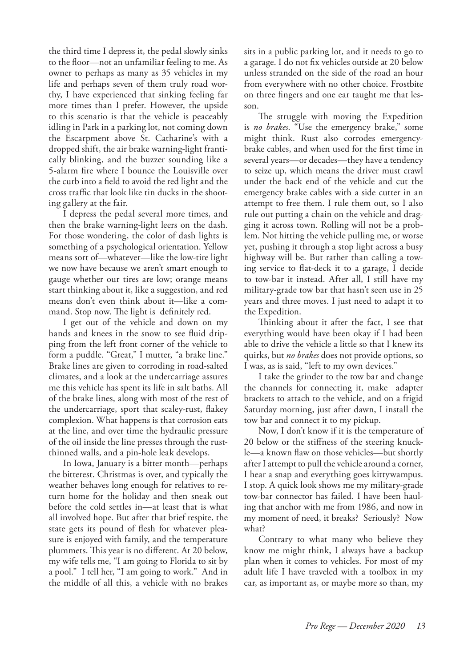the third time I depress it, the pedal slowly sinks to the floor—not an unfamiliar feeling to me. As owner to perhaps as many as 35 vehicles in my life and perhaps seven of them truly road worthy, I have experienced that sinking feeling far more times than I prefer. However, the upside to this scenario is that the vehicle is peaceably idling in Park in a parking lot, not coming down the Escarpment above St. Catharine's with a dropped shift, the air brake warning-light frantically blinking, and the buzzer sounding like a 5-alarm fire where I bounce the Louisville over the curb into a field to avoid the red light and the cross traffic that look like tin ducks in the shooting gallery at the fair.

I depress the pedal several more times, and then the brake warning-light leers on the dash. For those wondering, the color of dash lights is something of a psychological orientation. Yellow means sort of—whatever—like the low-tire light we now have because we aren't smart enough to gauge whether our tires are low; orange means start thinking about it, like a suggestion, and red means don't even think about it—like a command. Stop now. The light is definitely red.

I get out of the vehicle and down on my hands and knees in the snow to see fluid dripping from the left front corner of the vehicle to form a puddle. "Great," I mutter, "a brake line." Brake lines are given to corroding in road-salted climates, and a look at the undercarriage assures me this vehicle has spent its life in salt baths. All of the brake lines, along with most of the rest of the undercarriage, sport that scaley-rust, flakey complexion. What happens is that corrosion eats at the line, and over time the hydraulic pressure of the oil inside the line presses through the rustthinned walls, and a pin-hole leak develops.

In Iowa, January is a bitter month—perhaps the bitterest. Christmas is over, and typically the weather behaves long enough for relatives to return home for the holiday and then sneak out before the cold settles in—at least that is what all involved hope. But after that brief respite, the state gets its pound of flesh for whatever pleasure is enjoyed with family, and the temperature plummets. This year is no different. At 20 below, my wife tells me, "I am going to Florida to sit by a pool." I tell her, "I am going to work." And in the middle of all this, a vehicle with no brakes

sits in a public parking lot, and it needs to go to a garage. I do not fix vehicles outside at 20 below unless stranded on the side of the road an hour from everywhere with no other choice. Frostbite on three fingers and one ear taught me that lesson.

The struggle with moving the Expedition is *no brakes*. "Use the emergency brake," some might think. Rust also corrodes emergencybrake cables, and when used for the first time in several years—or decades—they have a tendency to seize up, which means the driver must crawl under the back end of the vehicle and cut the emergency brake cables with a side cutter in an attempt to free them. I rule them out, so I also rule out putting a chain on the vehicle and dragging it across town. Rolling will not be a problem. Not hitting the vehicle pulling me, or worse yet, pushing it through a stop light across a busy highway will be. But rather than calling a towing service to flat-deck it to a garage, I decide to tow-bar it instead. After all, I still have my military-grade tow bar that hasn't seen use in 25 years and three moves. I just need to adapt it to the Expedition.

Thinking about it after the fact, I see that everything would have been okay if I had been able to drive the vehicle a little so that I knew its quirks, but *no brakes* does not provide options, so I was, as is said, "left to my own devices."

I take the grinder to the tow bar and change the channels for connecting it, make adapter brackets to attach to the vehicle, and on a frigid Saturday morning, just after dawn, I install the tow bar and connect it to my pickup.

Now, I don't know if it is the temperature of 20 below or the stiffness of the steering knuckle—a known flaw on those vehicles—but shortly after I attempt to pull the vehicle around a corner, I hear a snap and everything goes kittywampus. I stop. A quick look shows me my military-grade tow-bar connector has failed. I have been hauling that anchor with me from 1986, and now in my moment of need, it breaks? Seriously? Now what?

Contrary to what many who believe they know me might think, I always have a backup plan when it comes to vehicles. For most of my adult life I have traveled with a toolbox in my car, as important as, or maybe more so than, my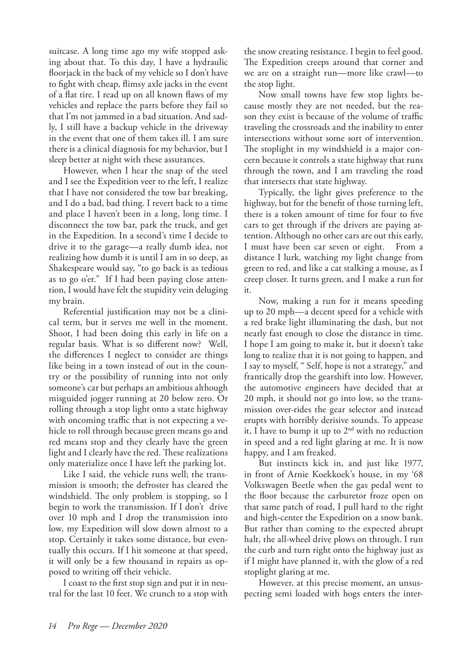suitcase. A long time ago my wife stopped asking about that. To this day, I have a hydraulic floorjack in the back of my vehicle so I don't have to fight with cheap, flimsy axle jacks in the event of a flat tire. I read up on all known flaws of my vehicles and replace the parts before they fail so that I'm not jammed in a bad situation. And sadly, I still have a backup vehicle in the driveway in the event that one of them takes ill. I am sure there is a clinical diagnosis for my behavior, but I sleep better at night with these assurances.

However, when I hear the snap of the steel and I see the Expedition veer to the left, I realize that I have not considered the tow bar breaking, and I do a bad, bad thing. I revert back to a time and place I haven't been in a long, long time. I disconnect the tow bar, park the truck, and get in the Expedition. In a second's time I decide to drive it to the garage—a really dumb idea, not realizing how dumb it is until I am in so deep, as Shakespeare would say, "to go back is as tedious as to go o'er." If I had been paying close attention, I would have felt the stupidity vein deluging my brain.

Referential justification may not be a clinical term, but it serves me well in the moment. Shoot, I had been doing this early in life on a regular basis. What is so different now? Well, the differences I neglect to consider are things like being in a town instead of out in the country or the possibility of running into not only someone's car but perhaps an ambitious although misguided jogger running at 20 below zero. Or rolling through a stop light onto a state highway with oncoming traffic that is not expecting a vehicle to roll through because green means go and red means stop and they clearly have the green light and I clearly have the red. These realizations only materialize once I have left the parking lot.

Like I said, the vehicle runs well; the transmission is smooth; the defroster has cleared the windshield. The only problem is stopping, so I begin to work the transmission. If I don't drive over 10 mph and I drop the transmission into low, my Expedition will slow down almost to a stop. Certainly it takes some distance, but eventually this occurs. If I hit someone at that speed, it will only be a few thousand in repairs as opposed to writing off their vehicle.

I coast to the first stop sign and put it in neutral for the last 10 feet. We crunch to a stop with the snow creating resistance. I begin to feel good. The Expedition creeps around that corner and we are on a straight run—more like crawl—to the stop light.

Now small towns have few stop lights because mostly they are not needed, but the reason they exist is because of the volume of traffic traveling the crossroads and the inability to enter intersections without some sort of intervention. The stoplight in my windshield is a major concern because it controls a state highway that runs through the town, and I am traveling the road that intersects that state highway.

Typically, the light gives preference to the highway, but for the benefit of those turning left, there is a token amount of time for four to five cars to get through if the drivers are paying attention. Although no other cars are out this early, I must have been car seven or eight. From a distance I lurk, watching my light change from green to red, and like a cat stalking a mouse, as I creep closer. It turns green, and I make a run for it.

Now, making a run for it means speeding up to 20 mph—a decent speed for a vehicle with a red brake light illuminating the dash, but not nearly fast enough to close the distance in time. I hope I am going to make it, but it doesn't take long to realize that it is not going to happen, and I say to myself, " Self, hope is not a strategy," and frantically drop the gearshift into low. However, the automotive engineers have decided that at 20 mph, it should not go into low, so the transmission over-rides the gear selector and instead erupts with horribly derisive sounds. To appease it, I have to bump it up to  $2<sup>nd</sup>$  with no reduction in speed and a red light glaring at me. It is now happy, and I am freaked.

But instincts kick in, and just like 1977, in front of Arnie Koekkoek's house, in my '68 Volkswagen Beetle when the gas pedal went to the floor because the carburetor froze open on that same patch of road, I pull hard to the right and high-center the Expedition on a snow bank. But rather than coming to the expected abrupt halt, the all-wheel drive plows on through. I run the curb and turn right onto the highway just as if I might have planned it, with the glow of a red stoplight glaring at me.

However, at this precise moment, an unsuspecting semi loaded with hogs enters the inter